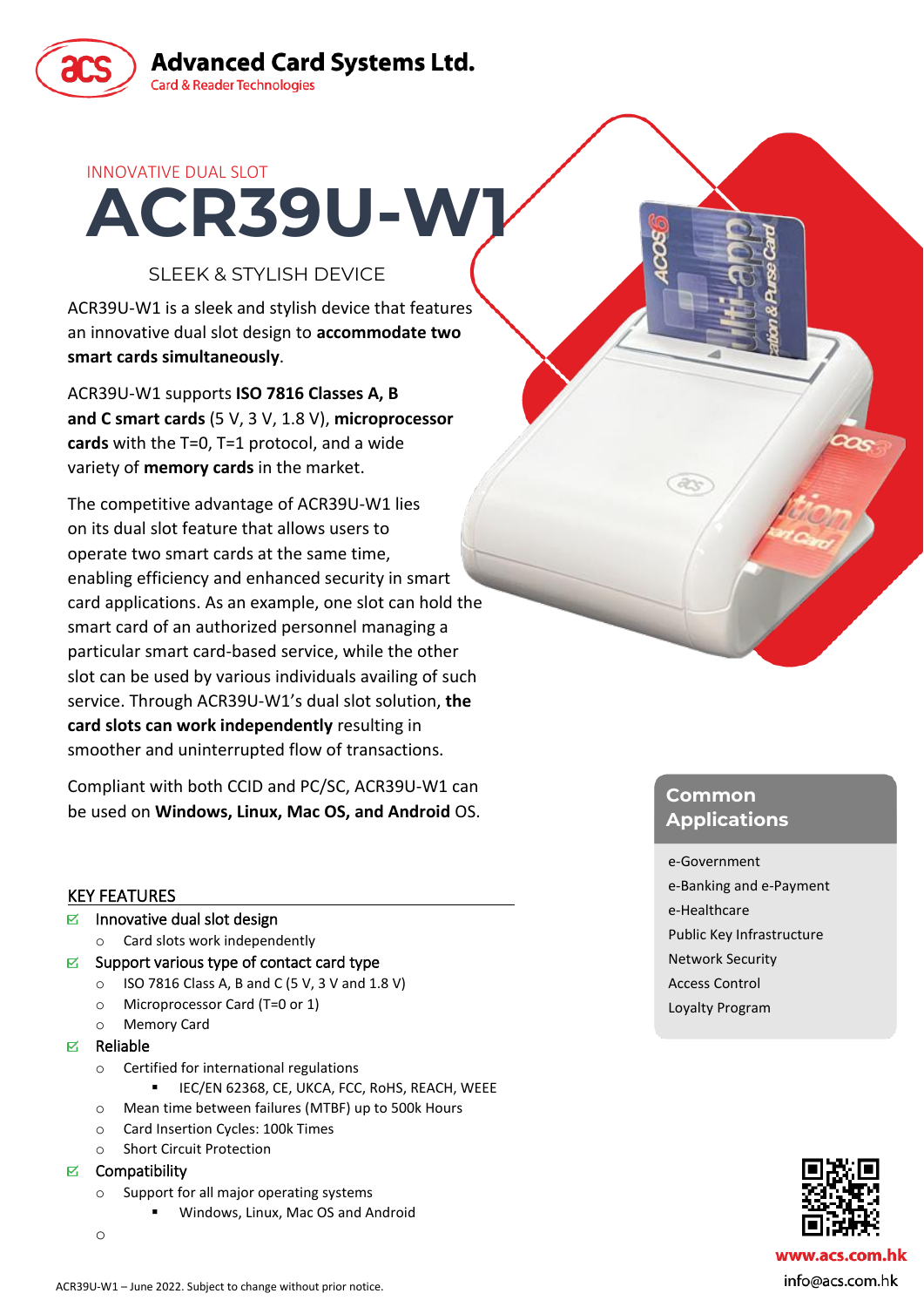

**Advanced Card Systems Ltd. Card & Reader Technologies** 

## INNOVATIVE DUAL SLOT

# SLEEK & STYLISH DEVICE

**ACR39U-W1**

ACR39U-W1 is a sleek and stylish device that features an innovative dual slot design to **accommodate two smart cards simultaneously**.

ACR39U-W1 supports **ISO 7816 Classes A, B and C smart cards** (5 V, 3 V, 1.8 V), **microprocessor cards** with the T=0, T=1 protocol, and a wide variety of **memory cards** in the market.

The competitive advantage of ACR39U-W1 lies on its dual slot feature that allows users to operate two smart cards at the same time, enabling efficiency and enhanced security in smart card applications. As an example, one slot can hold the smart card of an authorized personnel managing a particular smart card-based service, while the other slot can be used by various individuals availing of such service. Through ACR39U-W1's dual slot solution, **the card slots can work independently** resulting in smoother and uninterrupted flow of transactions.

Compliant with both CCID and PC/SC, ACR39U-W1 can be used on **Windows, Linux, Mac OS, and Android** OS.

## KEY FEATURES

- $\triangleright$  Innovative dual slot design
	- o Card slots work independently
- $\triangleright$  Support various type of contact card type
	- $\circ$  ISO 7816 Class A, B and C (5 V, 3 V and 1.8 V)
	- o Microprocessor Card (T=0 or 1)
	- o Memory Card
- $E$  Reliable
	- o Certified for international regulations
		- IEC/EN 62368, CE, UKCA, FCC, RoHS, REACH, WEEE
	- o Mean time between failures (MTBF) up to 500k Hours
	- o Card Insertion Cycles: 100k Times
	- **Short Circuit Protection**
- $\boxtimes$  Compatibility
	- o Support for all major operating systems
		- Windows, Linux, Mac OS and Android
	- o

## **Common Applications**

#### e-Government

 $d\chi$ 

- e-Banking and e-Payment e-Healthcare Public Key Infrastructure Network Security Access Control
- Loyalty Program



info@acs.com.hk